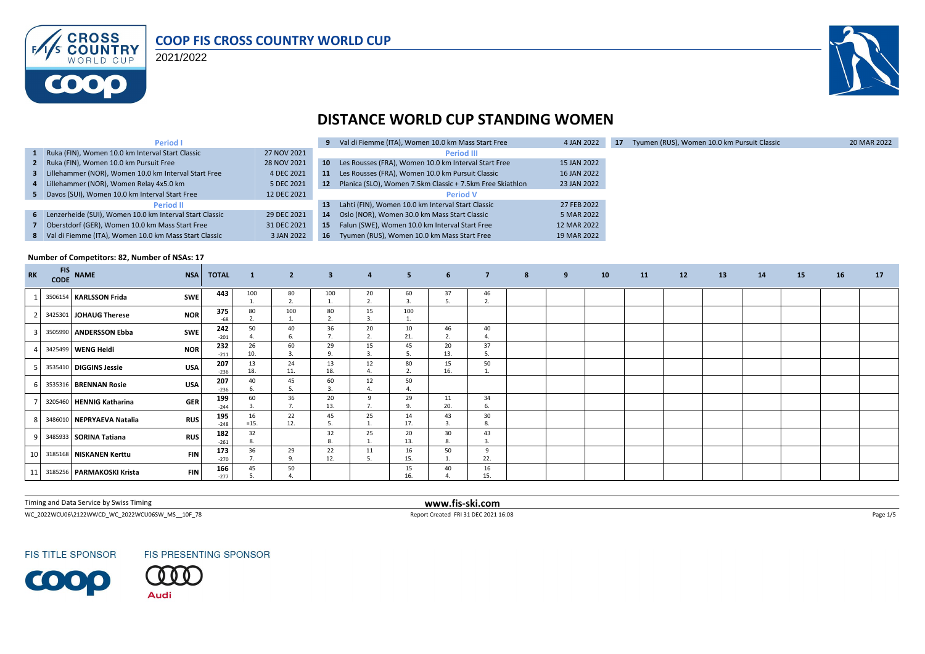

2021/2022



#### **DISTANCE WORLD CUP STANDING WOMEN**

| <b>Period I</b>                                           |             |                 | 9 Val di Fiemme (ITA), Women 10.0 km Mass Start Free      | 4 JAN 2022  | 17 | Tyumen (RUS), Women 10.0 km Pursuit Classic | 20 MAR 2022 |
|-----------------------------------------------------------|-------------|-----------------|-----------------------------------------------------------|-------------|----|---------------------------------------------|-------------|
| 1 Ruka (FIN), Women 10.0 km Interval Start Classic        | 27 NOV 2021 |                 | <b>Period III</b>                                         |             |    |                                             |             |
| 2 Ruka (FIN), Women 10.0 km Pursuit Free                  | 28 NOV 2021 |                 | 10 Les Rousses (FRA), Women 10.0 km Interval Start Free   | 15 JAN 2022 |    |                                             |             |
| 3 Lillehammer (NOR), Women 10.0 km Interval Start Free    | 4 DEC 2021  | 11              | Les Rousses (FRA), Women 10.0 km Pursuit Classic          | 16 JAN 2022 |    |                                             |             |
| 4 Lillehammer (NOR), Women Relay 4x5.0 km                 | 5 DEC 2021  | 12              | Planica (SLO), Women 7.5km Classic + 7.5km Free Skiathlon | 23 JAN 2022 |    |                                             |             |
| 5 Davos (SUI), Women 10.0 km Interval Start Free          | 12 DEC 2021 |                 | <b>Period V</b>                                           |             |    |                                             |             |
| <b>Period II</b>                                          |             | 13              | Lahti (FIN), Women 10.0 km Interval Start Classic         | 27 FEB 2022 |    |                                             |             |
| 6 Lenzerheide (SUI), Women 10.0 km Interval Start Classic | 29 DEC 2021 | 14              | Oslo (NOR), Women 30.0 km Mass Start Classic              | 5 MAR 2022  |    |                                             |             |
| 7 Oberstdorf (GER), Women 10.0 km Mass Start Free         | 31 DEC 2021 | 15 <sup>1</sup> | Falun (SWE), Women 10.0 km Interval Start Free            | 12 MAR 2022 |    |                                             |             |
| 8 Val di Fiemme (ITA), Women 10.0 km Mass Start Classic   | 3 JAN 2022  | 16              | Tyumen (RUS), Women 10.0 km Mass Start Free               | 19 MAR 2022 |    |                                             |             |

#### **Number of Competitors: 82, Number of NSAs: 17**

| RK | <b>FIS</b> | CODE NAME                    | <b>NSA</b> | <b>TOTAL</b>  | $\mathbf{1}$ | $\overline{2}$ | $\overline{\mathbf{3}}$ | $\overline{a}$ | 5 <sub>1</sub> | 6 <sup>1</sup> | $\overline{7}$ | 8 | 9 | 10 | 11 | 12 | 13 | 14 | 15 | 16 | 17 |
|----|------------|------------------------------|------------|---------------|--------------|----------------|-------------------------|----------------|----------------|----------------|----------------|---|---|----|----|----|----|----|----|----|----|
|    |            | 3506154 KARLSSON Frida       | SWE        | 443           | 100          | 80<br>2.       | 100                     | 20<br>z.       | 60             | 37             | 46<br>n,       |   |   |    |    |    |    |    |    |    |    |
|    |            | 3425301 JOHAUG Therese       | <b>NOR</b> | 375<br>-68    | 80           | 100<br>ī.      | 80<br>2.                | 15             | 100            |                |                |   |   |    |    |    |    |    |    |    |    |
|    |            | 3505990 ANDERSSON Ebba       | <b>SWE</b> | 242<br>$-201$ | 50           | 40<br>6.       | 36                      | 20             | 10<br>21.      | 46<br>z.       | 40             |   |   |    |    |    |    |    |    |    |    |
|    |            | 3425499 WENG Heidi           | <b>NOR</b> | 232<br>$-211$ | 26<br>10.    | 60<br>3.       | 29<br>9.                | 15<br>3.       | 45             | 20<br>13.      | 37<br>5.       |   |   |    |    |    |    |    |    |    |    |
|    |            | 3535410 DIGGINS Jessie       | <b>USA</b> | 207<br>$-236$ | 13<br>18.    | 24<br>11.      | 13<br>18.               | 12             | 80             | 15<br>16.      | 50             |   |   |    |    |    |    |    |    |    |    |
|    |            | 3535316 BRENNAN Rosie        | <b>USA</b> | 207<br>$-236$ | 40           | 45             | 60<br>3.                | 12             | 50             |                |                |   |   |    |    |    |    |    |    |    |    |
|    |            | 3205460 HENNIG Katharina     | <b>GER</b> | 199<br>$-244$ | 60           | 36             | 20<br>13.               |                | 29<br>$\Omega$ | 11<br>20.      | 34             |   |   |    |    |    |    |    |    |    |    |
|    |            | 3486010 NEPRYAEVA Natalia    | <b>RUS</b> | 195<br>$-248$ | 16<br>$=15.$ | 22<br>12.      | 45<br>.5.               | 25             | 14<br>17.      | 43<br>3.       | 30<br>8        |   |   |    |    |    |    |    |    |    |    |
| 9  |            | 3485933 SORINA Tatiana       | <b>RUS</b> | 182<br>$-261$ | 32           |                | 32<br>8.                | 25             | 20<br>13.      | 30<br>8.       | 43             |   |   |    |    |    |    |    |    |    |    |
|    |            | 10 3185168 NISKANEN Kerttu   | <b>FIN</b> | 173<br>$-270$ | 36           | 29<br>9.       | 22<br>12.               | 11             | 16<br>15.      | 50<br>1.       | 22.            |   |   |    |    |    |    |    |    |    |    |
|    |            | 11 3185256 PARMAKOSKI Krista | <b>FIN</b> | 166<br>$-277$ | 45           | 50             |                         |                | 15<br>16.      | 40             | 16<br>15.      |   |   |    |    |    |    |    |    |    |    |

Timing and Data Service by Swiss Timing **www.fis-ski.com**

 $\footnotesize \textsf{Report Credit FRI1 DEC 2021 16:08} \begin{tabular}{l} \textbf{NFC 2022} \\ \textbf{NFC 2022} \\ \textbf{NFC 2022} \\ \textbf{NFC 2022} \\ \textbf{NFC 2022} \\ \textbf{NFC 2022} \\ \textbf{NFC 2022} \\ \textbf{NFC 2022} \\ \textbf{NFC 2022} \\ \textbf{NFC 2022} \\ \textbf{NFC 2022} \\ \textbf{NFC 2022} \\ \textbf{NFC 2022} \\ \textbf{NFC 2022} \\ \textbf{$ 

**FIS TITLE SPONSOR** 

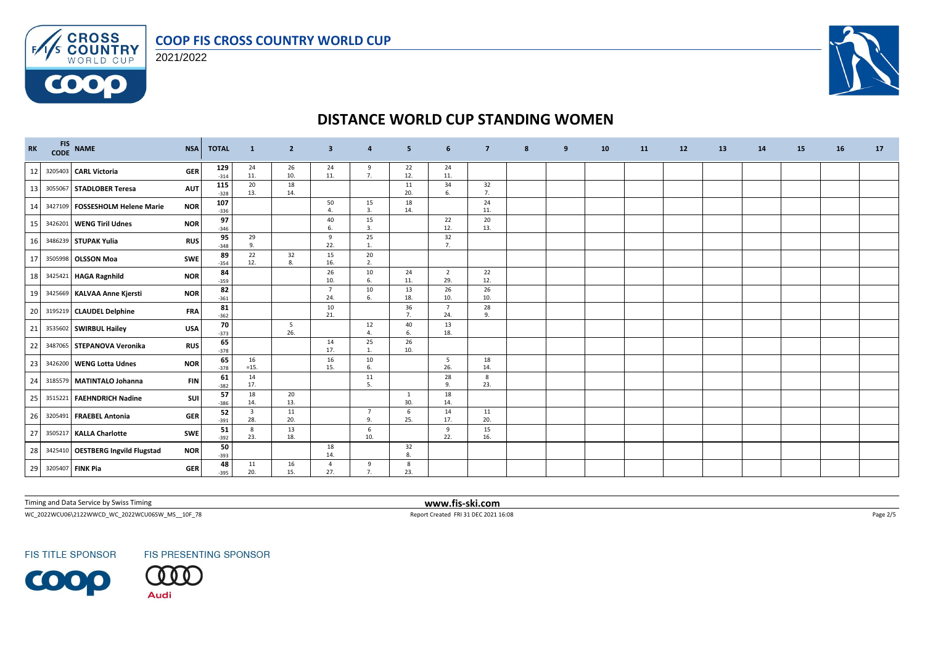



**COOO** 



# **DISTANCE WORLD CUP STANDING WOMEN**

| <b>RK</b> | <b>FIS</b><br><b>CODE</b> | <b>NAME</b>                       | <b>NSA</b> | <b>TOTAL</b>  | $\mathbf{1}$                   | $\mathbf{2}$           | 3                      | 4                              | 5                   | 6                     | $\overline{7}$ | 8 | 9 | 10 | <b>11</b> | 12 | 13 | 14 | 15 | 16 | 17 |
|-----------|---------------------------|-----------------------------------|------------|---------------|--------------------------------|------------------------|------------------------|--------------------------------|---------------------|-----------------------|----------------|---|---|----|-----------|----|----|----|----|----|----|
| 12        |                           | 3205403 CARL Victoria             | <b>GER</b> | 129<br>$-314$ | 24<br>11.                      | 26<br>10.              | 24<br>11.              | 9<br>7.                        | 22<br>12.           | 24<br>11.             |                |   |   |    |           |    |    |    |    |    |    |
| 13        |                           | 3055067 STADLOBER Teresa          | <b>AUT</b> | 115<br>$-328$ | 20<br>13.                      | 18<br>14.              |                        |                                | 11<br>20.           | 34<br>6.              | 32<br>7.       |   |   |    |           |    |    |    |    |    |    |
| 14        |                           | 3427109 FOSSESHOLM Helene Marie   | <b>NOR</b> | 107<br>$-336$ |                                |                        | 50<br>4.               | 15<br>3.                       | 18<br>14.           |                       | 24<br>11.      |   |   |    |           |    |    |    |    |    |    |
| 15        | 3426201                   | <b>WENG Tiril Udnes</b>           | <b>NOR</b> | 97<br>$-346$  |                                |                        | 40<br>6.               | 15<br>3.                       |                     | 22<br>12.             | 20<br>13.      |   |   |    |           |    |    |    |    |    |    |
| 16        |                           | 3486239 STUPAK Yulia              | <b>RUS</b> | 95<br>$-348$  | 29<br>$\mathbf{q}$             |                        | 9<br>22.               | 25<br>-1                       |                     | 32<br>7.              |                |   |   |    |           |    |    |    |    |    |    |
| 17        |                           | 3505998 OLSSON Moa                | SWE        | 89<br>$-354$  | 22<br>12.                      | 32<br>8                | 15<br>16.              | 20<br>2.                       |                     |                       |                |   |   |    |           |    |    |    |    |    |    |
| 18        |                           | 3425421 HAGA Ragnhild             | <b>NOR</b> | 84<br>$-359$  |                                |                        | 26<br>10.              | 10<br>6.                       | 24<br>11.           | $\overline{2}$<br>29. | 22<br>12.      |   |   |    |           |    |    |    |    |    |    |
| 19        |                           | 3425669 KALVAA Anne Kjersti       | <b>NOR</b> | 82<br>$-361$  |                                |                        | $7\overline{ }$<br>24. | 10<br>6.                       | 13<br>18.           | 26<br>10.             | 26<br>10.      |   |   |    |           |    |    |    |    |    |    |
| 20        |                           | 3195219 CLAUDEL Delphine          | <b>FRA</b> | 81<br>$-362$  |                                |                        | 10<br>21.              |                                | 36<br>7.            | $\overline{7}$<br>24. | 28<br>9        |   |   |    |           |    |    |    |    |    |    |
| 21        |                           | 3535602 SWIRBUL Hailey            | <b>USA</b> | 70<br>$-373$  |                                | $5\overline{5}$<br>26. |                        | 12<br>$\overline{4}$ .         | 40<br>6.            | 13<br>18.             |                |   |   |    |           |    |    |    |    |    |    |
| 22        |                           | 3487065 STEPANOVA Veronika        | <b>RUS</b> | 65<br>$-378$  |                                |                        | 14<br>17.              | 25                             | 26<br>10.           |                       |                |   |   |    |           |    |    |    |    |    |    |
| 23        |                           | 3426200 WENG Lotta Udnes          | <b>NOR</b> | 65<br>$-378$  | 16<br>$=15.$                   |                        | 16<br>15.              | 10<br>6.                       |                     | 5<br>26.              | 18<br>14.      |   |   |    |           |    |    |    |    |    |    |
| 24        |                           | 3185579 MATINTALO Johanna         | <b>FIN</b> | 61<br>$-382$  | 14<br>17.                      |                        |                        | 11<br>5                        |                     | 28<br>9.              | 8<br>23.       |   |   |    |           |    |    |    |    |    |    |
| 25        |                           | 3515221 FAEHNDRICH Nadine         | SUI        | 57<br>$-386$  | 18<br>14.                      | 20<br>13.              |                        |                                | $\mathbf{1}$<br>30. | 18<br>14.             |                |   |   |    |           |    |    |    |    |    |    |
| 26        |                           | 3205491 FRAEBEL Antonia           | <b>GER</b> | 52<br>$-391$  | $\overline{\mathbf{3}}$<br>28. | 11<br>20.              |                        | $\overline{7}$<br>$\mathbf{q}$ | 6<br>25.            | 14<br>17.             | 11<br>20.      |   |   |    |           |    |    |    |    |    |    |
| 27        |                           | 3505217 KALLA Charlotte           | SWE        | 51<br>$-392$  | 8<br>23.                       | 13<br>18.              |                        | 6<br>10.                       |                     | 9<br>22.              | 15<br>16.      |   |   |    |           |    |    |    |    |    |    |
| 28        |                           | 3425410 OESTBERG Ingvild Flugstad | <b>NOR</b> | 50<br>$-393$  |                                |                        | 18<br>14.              |                                | 32<br>8.            |                       |                |   |   |    |           |    |    |    |    |    |    |
| 29        |                           | 3205407 FINK Pia                  | <b>GER</b> | 48<br>$-395$  | 11<br>20.                      | 16<br>15.              | $\overline{a}$<br>27.  | 9<br>7.                        | 8<br>23.            |                       |                |   |   |    |           |    |    |    |    |    |    |

Timing and Data Service by Swiss Timing **www.fis-ski.com**

WC\_2022WCU06\2122WWCD\_WC\_2022WCU06SW\_MS\_\_10F\_78 Report Created FRI 31 DEC 2021 16:08 Page 2/5

**FIS TITLE SPONSOR** 

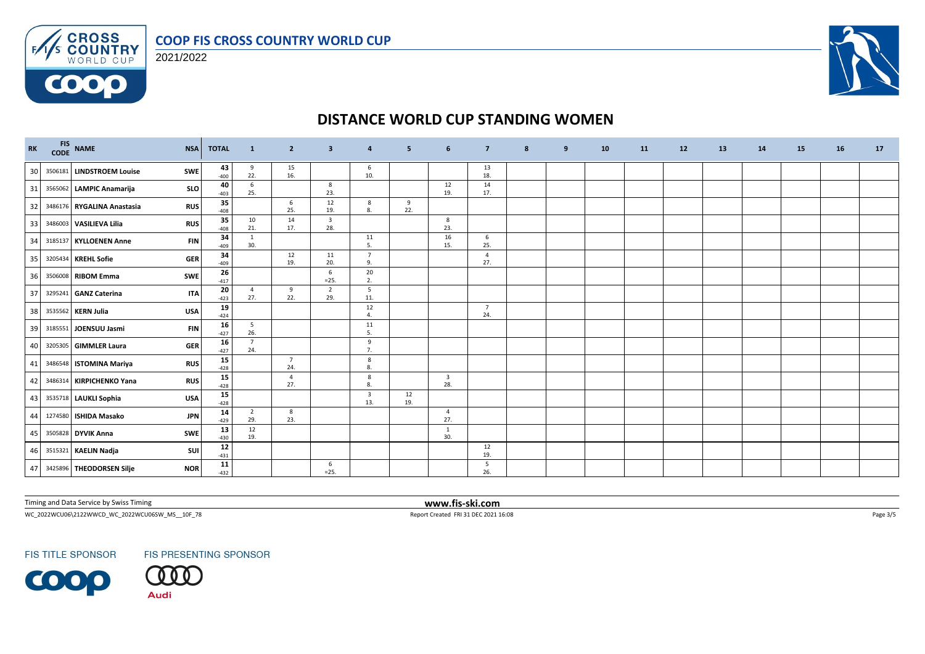



6000



# **DISTANCE WORLD CUP STANDING WOMEN**

| RK | CODE | FIS NAME                    | <b>NSA</b> | <b>TOTAL</b> | <sup>1</sup>          | $\overline{2}$        | 3                              | 4                              | 5         | 6                              | $\overline{\mathbf{z}}$ | 8 | 9 | 10 | 11 | 12 | 13 | 14 | 15 | 16 | 17 |
|----|------|-----------------------------|------------|--------------|-----------------------|-----------------------|--------------------------------|--------------------------------|-----------|--------------------------------|-------------------------|---|---|----|----|----|----|----|----|----|----|
| 30 |      | 3506181 LINDSTROEM Louise   | SWE        | 43<br>$-400$ | 9<br>22.              | 15<br>16.             |                                | 6<br>10.                       |           |                                | 13<br>18.               |   |   |    |    |    |    |    |    |    |    |
| 31 |      | 3565062 LAMPIC Anamarija    | <b>SLO</b> | 40<br>$-403$ | 6<br>25.              |                       | 8<br>23.                       |                                |           | 12<br>19.                      | 14<br>17.               |   |   |    |    |    |    |    |    |    |    |
| 32 |      | 3486176 RYGALINA Anastasia  | <b>RUS</b> | 35<br>$-408$ |                       | 6<br>25.              | 12<br>19.                      | 8<br>8.                        | 9<br>22.  |                                |                         |   |   |    |    |    |    |    |    |    |    |
| 33 |      | 3486003 VASILIEVA Lilia     | <b>RUS</b> | 35<br>$-408$ | 10<br>21.             | 14<br>17.             | $\overline{\mathbf{3}}$<br>28. |                                |           | 8<br>23.                       |                         |   |   |    |    |    |    |    |    |    |    |
| 34 |      | 3185137 KYLLOENEN Anne      | <b>FIN</b> | 34<br>$-409$ | 1<br>30.              |                       |                                | 11<br>-5.                      |           | 16<br>15.                      | 6<br>25.                |   |   |    |    |    |    |    |    |    |    |
| 35 |      | 3205434 KREHL Sofie         | <b>GER</b> | 34<br>$-409$ |                       | 12<br>19.             | 11<br>20.                      | $\overline{7}$<br>9.           |           |                                | $\overline{4}$<br>27.   |   |   |    |    |    |    |    |    |    |    |
| 36 |      | 3506008 RIBOM Emma          | <b>SWE</b> | 26<br>$-417$ |                       |                       | 6<br>$=25.$                    | 20<br>2.                       |           |                                |                         |   |   |    |    |    |    |    |    |    |    |
| 37 |      | 3295241 GANZ Caterina       | <b>ITA</b> | 20<br>$-423$ | $\overline{4}$<br>27. | 9<br>22.              | $\overline{2}$<br>29.          | 5<br>11.                       |           |                                |                         |   |   |    |    |    |    |    |    |    |    |
| 38 |      | 3535562 KERN Julia          | <b>USA</b> | 19<br>$-424$ |                       |                       |                                | 12<br>$\overline{4}$           |           |                                | $\overline{7}$<br>24.   |   |   |    |    |    |    |    |    |    |    |
| 39 |      | 3185551 JOENSUU Jasmi       | <b>FIN</b> | 16<br>$-427$ | 5<br>26.              |                       |                                | 11<br>5.                       |           |                                |                         |   |   |    |    |    |    |    |    |    |    |
| 40 |      | 3205305 GIMMLER Laura       | <b>GER</b> | 16<br>$-427$ | $\overline{7}$<br>24. |                       |                                | 9<br>7.                        |           |                                |                         |   |   |    |    |    |    |    |    |    |    |
| 41 |      | 3486548 ISTOMINA Mariya     | <b>RUS</b> | 15<br>$-428$ |                       | $\overline{7}$<br>24. |                                | 8<br>8.                        |           |                                |                         |   |   |    |    |    |    |    |    |    |    |
| 42 |      | 3486314 KIRPICHENKO Yana    | <b>RUS</b> | 15<br>$-428$ |                       | $\overline{a}$<br>27. |                                | 8<br>8.                        |           | $\overline{\mathbf{3}}$<br>28. |                         |   |   |    |    |    |    |    |    |    |    |
| 43 |      | 3535718 LAUKLI Sophia       | <b>USA</b> | 15<br>$-428$ |                       |                       |                                | $\overline{\mathbf{3}}$<br>13. | 12<br>19. |                                |                         |   |   |    |    |    |    |    |    |    |    |
| 44 |      | 1274580 ISHIDA Masako       | <b>JPN</b> | 14<br>$-429$ | $\overline{2}$<br>29. | 8<br>23.              |                                |                                |           | $\overline{4}$<br>27.          |                         |   |   |    |    |    |    |    |    |    |    |
| 45 |      | 3505828 DYVIK Anna          | SWE        | 13<br>$-430$ | 12<br>19.             |                       |                                |                                |           | 1<br>30.                       |                         |   |   |    |    |    |    |    |    |    |    |
| 46 |      | 3515321 KAELIN Nadja        | SUI        | 12<br>$-431$ |                       |                       |                                |                                |           |                                | 12<br>19.               |   |   |    |    |    |    |    |    |    |    |
|    |      | 47 3425896 THEODORSEN Silje | <b>NOR</b> | 11<br>$-432$ |                       |                       | 6<br>$=25.$                    |                                |           |                                | 5<br>26.                |   |   |    |    |    |    |    |    |    |    |

Timing and Data Service by Swiss Timing **www.fis-ski.com**

WC\_2022WCU06\2122WWCD\_WC\_2022WCU06SW\_MS\_\_10F\_78 Report Created FRI 31 DEC 2021 16:08 Page 3/5

**FIS TITLE SPONSOR** 

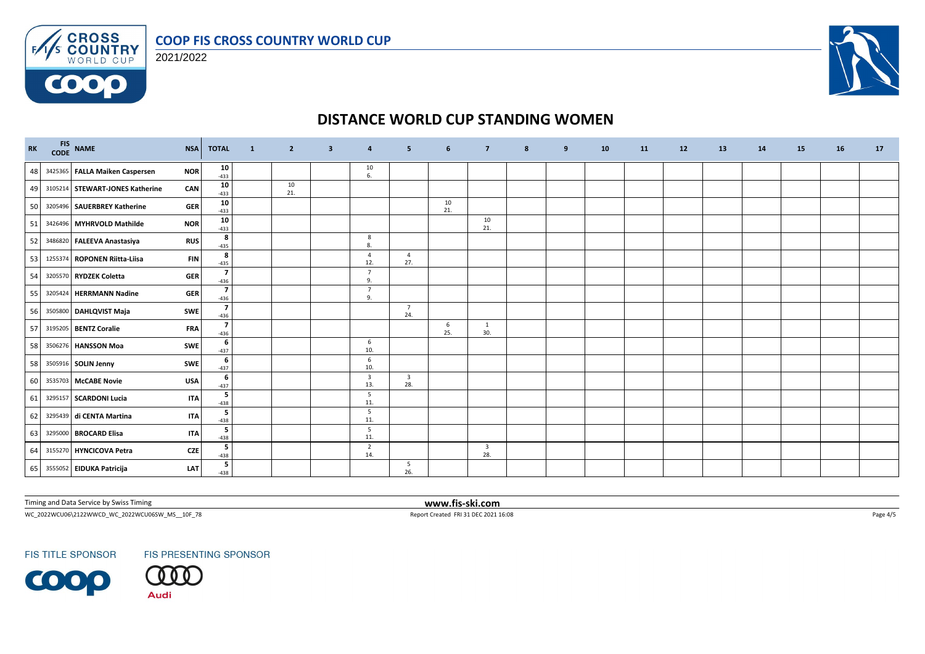



6000



## **DISTANCE WORLD CUP STANDING WOMEN**

| RK | FIS NAME                          | <b>NSA</b> | <b>TOTAL</b>                      | $\mathbf{1}$ | $\overline{2}$ | 3 | $\overline{a}$                 | 5                              | 6         | $\overline{7}$                 | 8 | 9 | 10 | <b>11</b> | 12 | 13 | 14 | 15 | 16 | 17 |
|----|-----------------------------------|------------|-----------------------------------|--------------|----------------|---|--------------------------------|--------------------------------|-----------|--------------------------------|---|---|----|-----------|----|----|----|----|----|----|
|    | 48 3425365 FALLA Maiken Caspersen | <b>NOR</b> | 10<br>$-433$                      |              |                |   | 10<br>6.                       |                                |           |                                |   |   |    |           |    |    |    |    |    |    |
| 49 | 3105214 STEWART-JONES Katherine   | CAN        | 10<br>$-433$                      |              | 10<br>21.      |   |                                |                                |           |                                |   |   |    |           |    |    |    |    |    |    |
| 50 | 3205496 SAUERBREY Katherine       | <b>GER</b> | 10<br>$-433$                      |              |                |   |                                |                                | 10<br>21. |                                |   |   |    |           |    |    |    |    |    |    |
| 51 | 3426496 MYHRVOLD Mathilde         | <b>NOR</b> | 10<br>$-433$                      |              |                |   |                                |                                |           | 10<br>21.                      |   |   |    |           |    |    |    |    |    |    |
| 52 | 3486820 FALEEVA Anastasiya        | <b>RUS</b> | 8<br>$-435$                       |              |                |   | 8<br>8                         |                                |           |                                |   |   |    |           |    |    |    |    |    |    |
| 53 | 1255374 ROPONEN Riitta-Liisa      | <b>FIN</b> | 8<br>$-435$                       |              |                |   | $\overline{4}$<br>12.          | 4<br>27.                       |           |                                |   |   |    |           |    |    |    |    |    |    |
| 54 | 3205570 RYDZEK Coletta            | <b>GER</b> | $\overline{\mathbf{z}}$<br>$-436$ |              |                |   | $\overline{7}$<br>9.           |                                |           |                                |   |   |    |           |    |    |    |    |    |    |
| 55 | 3205424 HERRMANN Nadine           | <b>GER</b> | $\overline{\mathbf{z}}$<br>$-436$ |              |                |   | $\overline{7}$<br>9.           |                                |           |                                |   |   |    |           |    |    |    |    |    |    |
| 56 | 3505800 DAHLQVIST Maja            | <b>SWE</b> | $\overline{7}$<br>$-436$          |              |                |   |                                | $7\overline{ }$<br>24.         |           |                                |   |   |    |           |    |    |    |    |    |    |
| 57 | 3195205 BENTZ Coralie             | <b>FRA</b> | $\overline{7}$<br>$-436$          |              |                |   |                                |                                | 6<br>25.  | 1<br>30.                       |   |   |    |           |    |    |    |    |    |    |
| 58 | 3506276 HANSSON Moa               | <b>SWE</b> | 6<br>$-437$                       |              |                |   | 6<br>10.                       |                                |           |                                |   |   |    |           |    |    |    |    |    |    |
| 58 | 3505916 SOLIN Jenny               | SWE        | 6<br>$-437$                       |              |                |   | 6<br>10.                       |                                |           |                                |   |   |    |           |    |    |    |    |    |    |
| 60 | 3535703 McCABE Novie              | USA        | 6<br>$-437$                       |              |                |   | $\overline{\mathbf{3}}$<br>13. | $\overline{\mathbf{3}}$<br>28. |           |                                |   |   |    |           |    |    |    |    |    |    |
| 61 | 3295157 SCARDONI Lucia            | <b>ITA</b> | 5<br>$-438$                       |              |                |   | 5<br>11.                       |                                |           |                                |   |   |    |           |    |    |    |    |    |    |
| 62 | 3295439 di CENTA Martina          | <b>ITA</b> | 5<br>$-438$                       |              |                |   | -5<br>11.                      |                                |           |                                |   |   |    |           |    |    |    |    |    |    |
| 63 | 3295000 BROCARD Elisa             | <b>ITA</b> | 5<br>$-438$                       |              |                |   | 5<br>11.                       |                                |           |                                |   |   |    |           |    |    |    |    |    |    |
| 64 | 3155270 HYNCICOVA Petra           | <b>CZE</b> | 5<br>$-438$                       |              |                |   | $\overline{2}$<br>14.          |                                |           | $\overline{\mathbf{3}}$<br>28. |   |   |    |           |    |    |    |    |    |    |
|    | 65 3555052 EIDUKA Patricija       | LAT        | 5<br>$-438$                       |              |                |   |                                | 5<br>26.                       |           |                                |   |   |    |           |    |    |    |    |    |    |

Timing and Data Service by Swiss Timing **www.fis-ski.com**

 $\textsf{WC\_2022WCUO6}\backslash 2122\textsf{WWC\_0022WCUO65W\_MS\_10F\_78} \qquad \qquad \textsf{Page 4/5}$ 

**FIS TITLE SPONSOR**